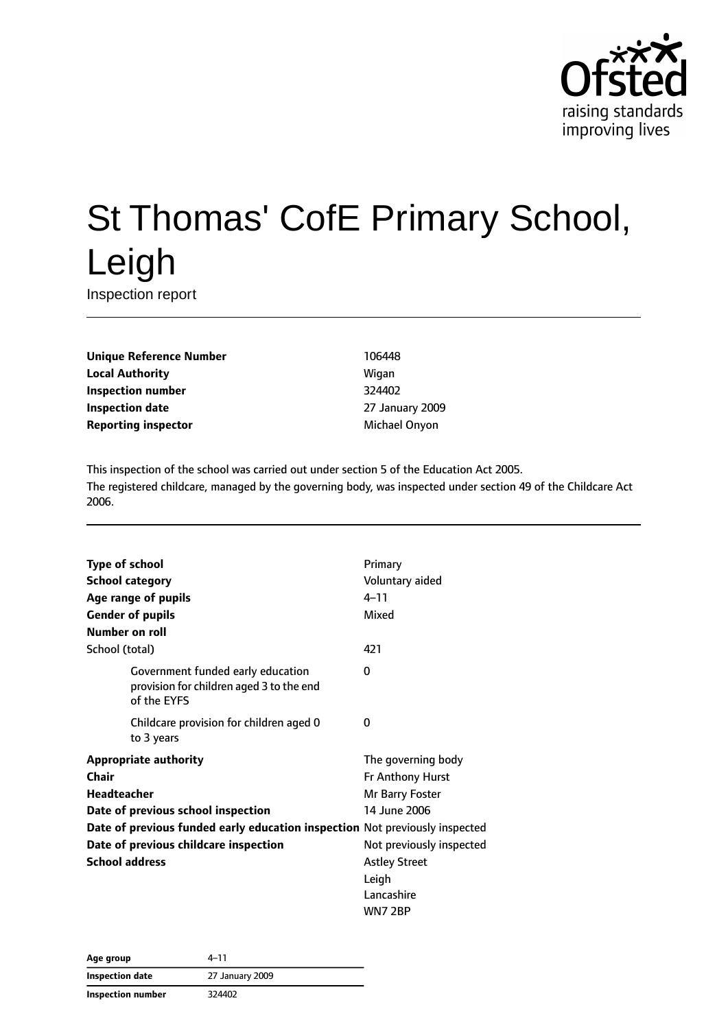

# St Thomas' CofE Primary School, Leigh

Inspection report

**Unique Reference Number** 106448 **Local Authority Migan Inspection number** 324402 **Inspection date** 27 January 2009 **Reporting inspector** Michael Onyon

This inspection of the school was carried out under section 5 of the Education Act 2005. The registered childcare, managed by the governing body, was inspected under section 49 of the Childcare Act 2006.

| <b>Type of school</b>                                                       |                                                                                              | Primary                  |
|-----------------------------------------------------------------------------|----------------------------------------------------------------------------------------------|--------------------------|
| <b>School category</b>                                                      |                                                                                              | Voluntary aided          |
|                                                                             | Age range of pupils                                                                          | $4 - 11$                 |
|                                                                             | <b>Gender of pupils</b>                                                                      | Mixed                    |
| Number on roll                                                              |                                                                                              |                          |
| School (total)                                                              |                                                                                              | 421                      |
|                                                                             | Government funded early education<br>provision for children aged 3 to the end<br>of the EYFS | 0                        |
|                                                                             | Childcare provision for children aged 0<br>to 3 years                                        | 0                        |
| <b>Appropriate authority</b>                                                |                                                                                              | The governing body       |
| Chair                                                                       |                                                                                              | Fr Anthony Hurst         |
| Headteacher                                                                 |                                                                                              | Mr Barry Foster          |
| Date of previous school inspection                                          |                                                                                              | 14 June 2006             |
| Date of previous funded early education inspection Not previously inspected |                                                                                              |                          |
| Date of previous childcare inspection                                       |                                                                                              | Not previously inspected |
| <b>School address</b>                                                       |                                                                                              | <b>Astley Street</b>     |
|                                                                             |                                                                                              | Leigh                    |
|                                                                             |                                                                                              | Lancashire               |
|                                                                             |                                                                                              | WN7 2BP                  |

| Age group         | 4–11            |
|-------------------|-----------------|
| Inspection date   | 27 January 2009 |
| Inspection number | 324402          |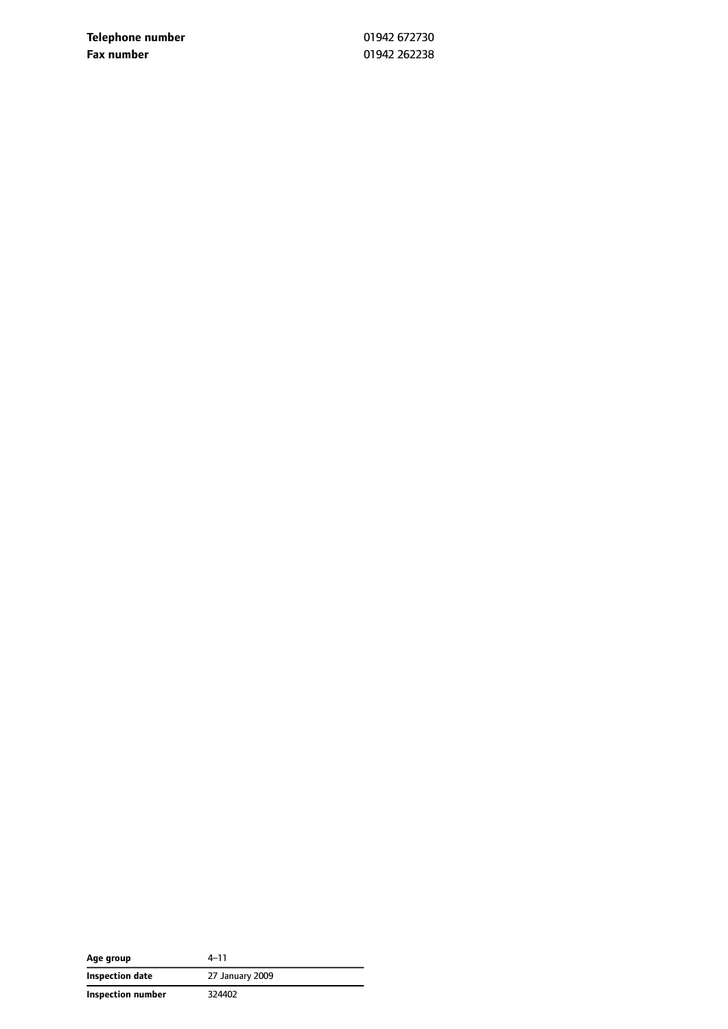**Telephone number** 01942 672730 **Fax number** 01942 262238

| Age group         | $4 - 11$        |
|-------------------|-----------------|
| Inspection date   | 27 January 2009 |
| Inspection number | 324402          |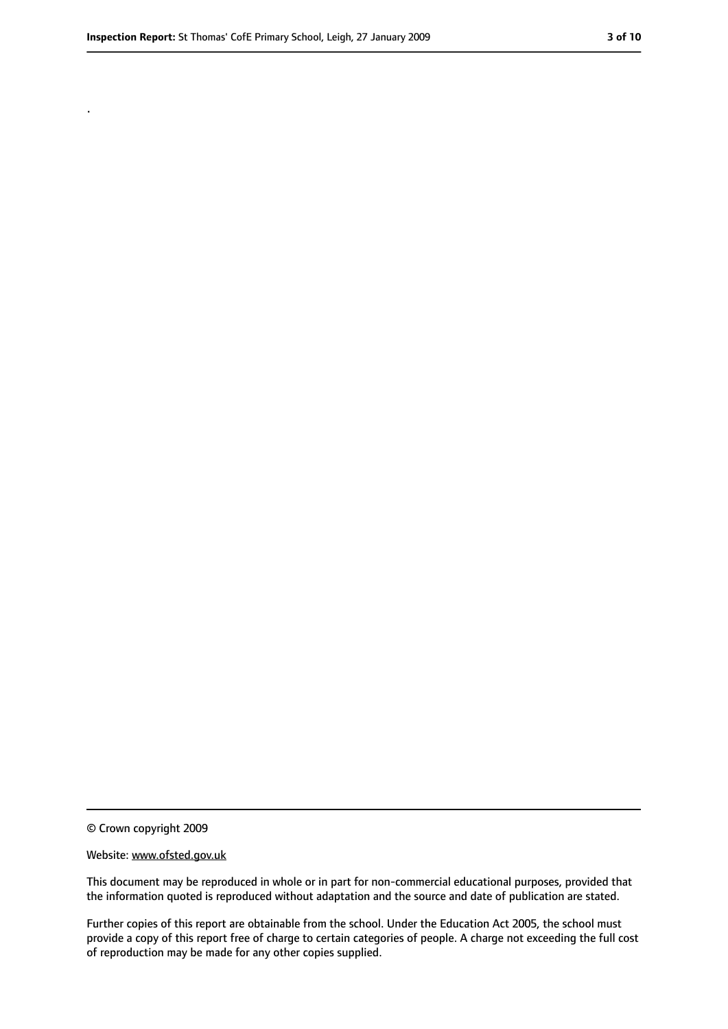.

<sup>©</sup> Crown copyright 2009

Website: www.ofsted.gov.uk

This document may be reproduced in whole or in part for non-commercial educational purposes, provided that the information quoted is reproduced without adaptation and the source and date of publication are stated.

Further copies of this report are obtainable from the school. Under the Education Act 2005, the school must provide a copy of this report free of charge to certain categories of people. A charge not exceeding the full cost of reproduction may be made for any other copies supplied.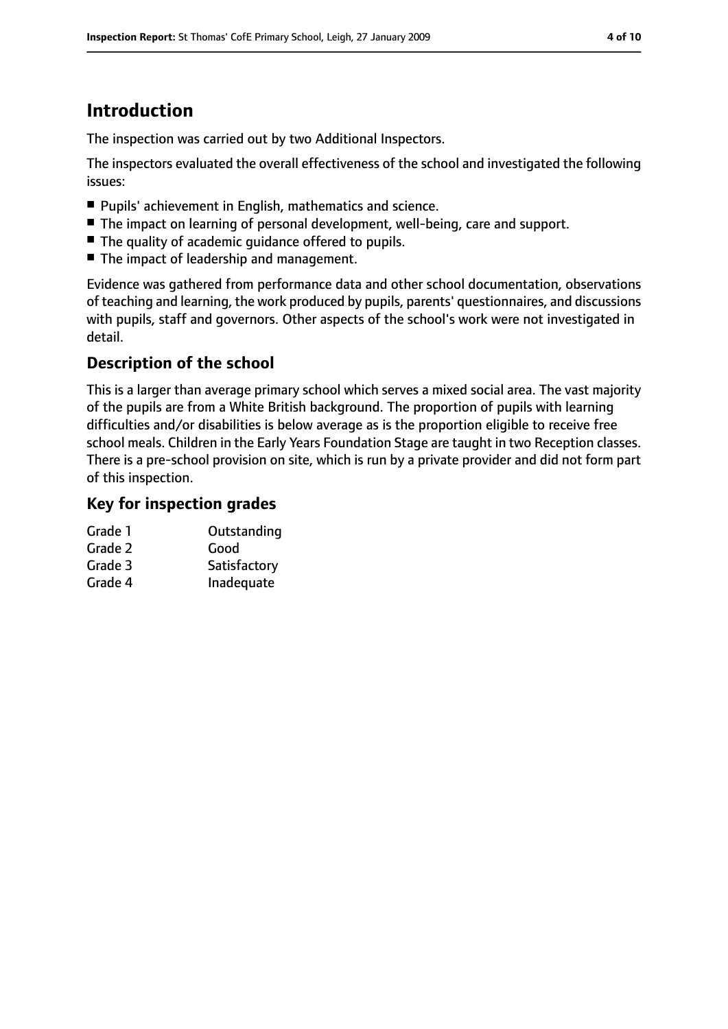## **Introduction**

The inspection was carried out by two Additional Inspectors.

The inspectors evaluated the overall effectiveness of the school and investigated the following issues:

- Pupils' achievement in English, mathematics and science.
- The impact on learning of personal development, well-being, care and support.
- The quality of academic quidance offered to pupils.
- The impact of leadership and management.

Evidence was gathered from performance data and other school documentation, observations of teaching and learning, the work produced by pupils, parents' questionnaires, and discussions with pupils, staff and governors. Other aspects of the school's work were not investigated in detail.

## **Description of the school**

This is a larger than average primary school which serves a mixed social area. The vast majority of the pupils are from a White British background. The proportion of pupils with learning difficulties and/or disabilities is below average as is the proportion eligible to receive free school meals. Children in the Early Years Foundation Stage are taught in two Reception classes. There is a pre-school provision on site, which is run by a private provider and did not form part of this inspection.

## **Key for inspection grades**

| Grade 1 | Outstanding  |
|---------|--------------|
| Grade 2 | Good         |
| Grade 3 | Satisfactory |
| Grade 4 | Inadequate   |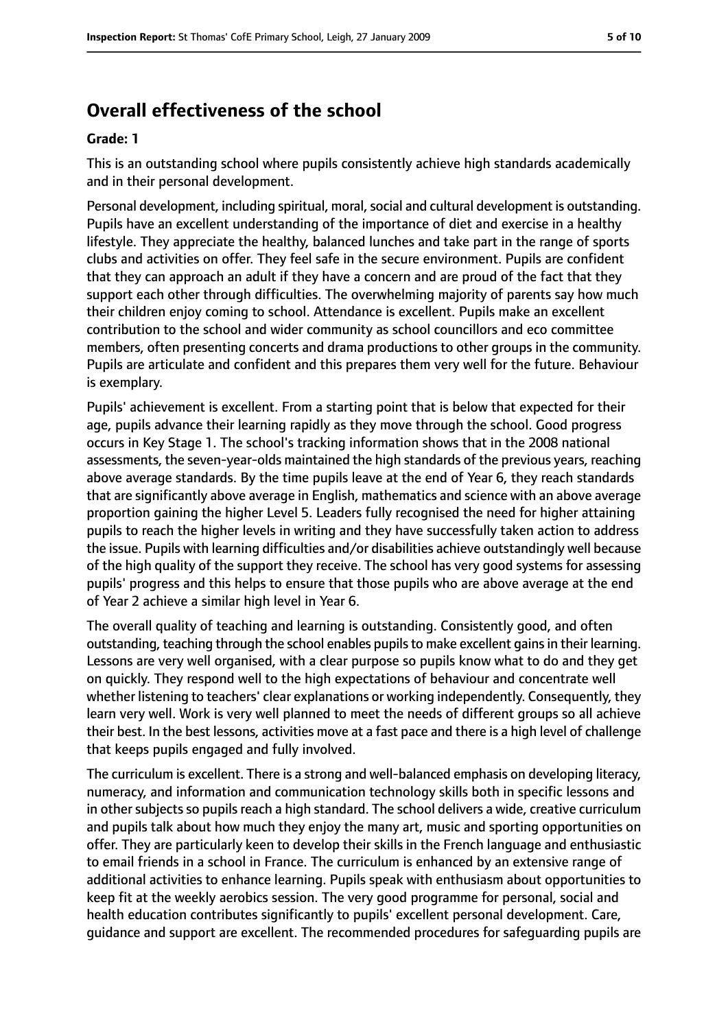## **Overall effectiveness of the school**

#### **Grade: 1**

This is an outstanding school where pupils consistently achieve high standards academically and in their personal development.

Personal development, including spiritual, moral, social and cultural development is outstanding. Pupils have an excellent understanding of the importance of diet and exercise in a healthy lifestyle. They appreciate the healthy, balanced lunches and take part in the range of sports clubs and activities on offer. They feel safe in the secure environment. Pupils are confident that they can approach an adult if they have a concern and are proud of the fact that they support each other through difficulties. The overwhelming majority of parents say how much their children enjoy coming to school. Attendance is excellent. Pupils make an excellent contribution to the school and wider community as school councillors and eco committee members, often presenting concerts and drama productions to other groups in the community. Pupils are articulate and confident and this prepares them very well for the future. Behaviour is exemplary.

Pupils' achievement is excellent. From a starting point that is below that expected for their age, pupils advance their learning rapidly as they move through the school. Good progress occurs in Key Stage 1. The school's tracking information shows that in the 2008 national assessments, the seven-year-olds maintained the high standards of the previous years, reaching above average standards. By the time pupils leave at the end of Year 6, they reach standards that are significantly above average in English, mathematics and science with an above average proportion gaining the higher Level 5. Leaders fully recognised the need for higher attaining pupils to reach the higher levels in writing and they have successfully taken action to address the issue. Pupils with learning difficulties and/or disabilities achieve outstandingly well because of the high quality of the support they receive. The school has very good systems for assessing pupils' progress and this helps to ensure that those pupils who are above average at the end of Year 2 achieve a similar high level in Year 6.

The overall quality of teaching and learning is outstanding. Consistently good, and often outstanding, teaching through the school enables pupils to make excellent gains in their learning. Lessons are very well organised, with a clear purpose so pupils know what to do and they get on quickly. They respond well to the high expectations of behaviour and concentrate well whether listening to teachers' clear explanations or working independently. Consequently, they learn very well. Work is very well planned to meet the needs of different groups so all achieve their best. In the best lessons, activities move at a fast pace and there is a high level of challenge that keeps pupils engaged and fully involved.

The curriculum is excellent. There is a strong and well-balanced emphasis on developing literacy, numeracy, and information and communication technology skills both in specific lessons and in other subjects so pupils reach a high standard. The school delivers a wide, creative curriculum and pupils talk about how much they enjoy the many art, music and sporting opportunities on offer. They are particularly keen to develop their skills in the French language and enthusiastic to email friends in a school in France. The curriculum is enhanced by an extensive range of additional activities to enhance learning. Pupils speak with enthusiasm about opportunities to keep fit at the weekly aerobics session. The very good programme for personal, social and health education contributes significantly to pupils' excellent personal development. Care, guidance and support are excellent. The recommended procedures for safeguarding pupils are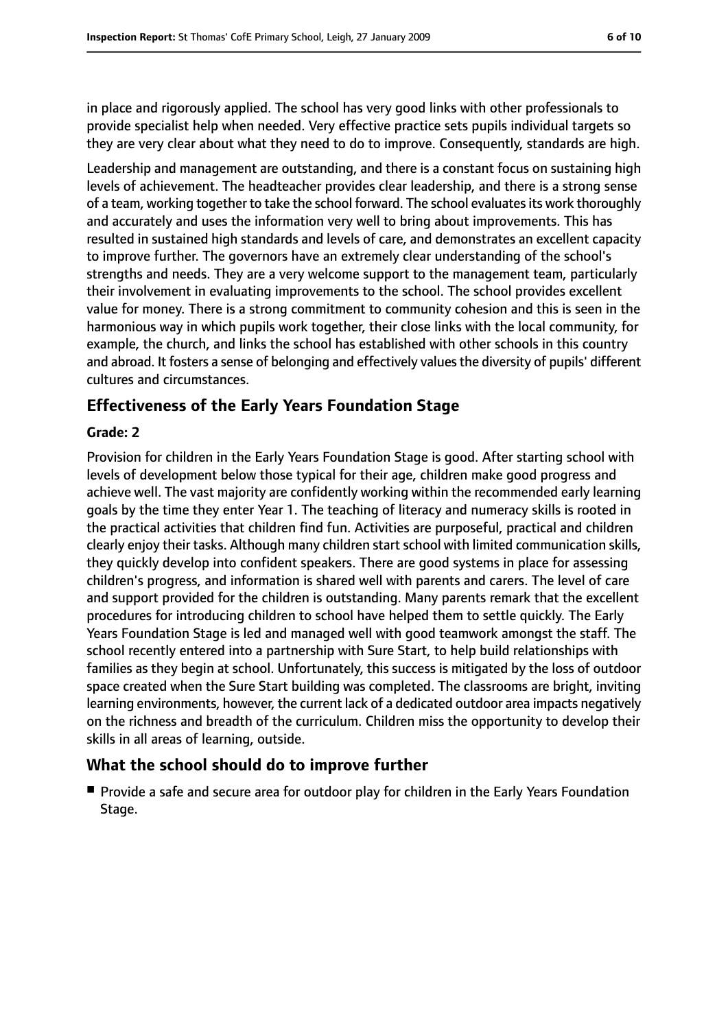in place and rigorously applied. The school has very good links with other professionals to provide specialist help when needed. Very effective practice sets pupils individual targets so they are very clear about what they need to do to improve. Consequently, standards are high.

Leadership and management are outstanding, and there is a constant focus on sustaining high levels of achievement. The headteacher provides clear leadership, and there is a strong sense of a team, working together to take the school forward. The school evaluatesits work thoroughly and accurately and uses the information very well to bring about improvements. This has resulted in sustained high standards and levels of care, and demonstrates an excellent capacity to improve further. The governors have an extremely clear understanding of the school's strengths and needs. They are a very welcome support to the management team, particularly their involvement in evaluating improvements to the school. The school provides excellent value for money. There is a strong commitment to community cohesion and this is seen in the harmonious way in which pupils work together, their close links with the local community, for example, the church, and links the school has established with other schools in this country and abroad. It fosters a sense of belonging and effectively values the diversity of pupils' different cultures and circumstances.

## **Effectiveness of the Early Years Foundation Stage**

#### **Grade: 2**

Provision for children in the Early Years Foundation Stage is good. After starting school with levels of development below those typical for their age, children make good progress and achieve well. The vast majority are confidently working within the recommended early learning goals by the time they enter Year 1. The teaching of literacy and numeracy skills is rooted in the practical activities that children find fun. Activities are purposeful, practical and children clearly enjoy their tasks. Although many children start school with limited communication skills, they quickly develop into confident speakers. There are good systems in place for assessing children's progress, and information is shared well with parents and carers. The level of care and support provided for the children is outstanding. Many parents remark that the excellent procedures for introducing children to school have helped them to settle quickly. The Early Years Foundation Stage is led and managed well with good teamwork amongst the staff. The school recently entered into a partnership with Sure Start, to help build relationships with families as they begin at school. Unfortunately, this success is mitigated by the loss of outdoor space created when the Sure Start building was completed. The classrooms are bright, inviting learning environments, however, the current lack of a dedicated outdoor area impacts negatively on the richness and breadth of the curriculum. Children miss the opportunity to develop their skills in all areas of learning, outside.

#### **What the school should do to improve further**

■ Provide a safe and secure area for outdoor play for children in the Early Years Foundation Stage.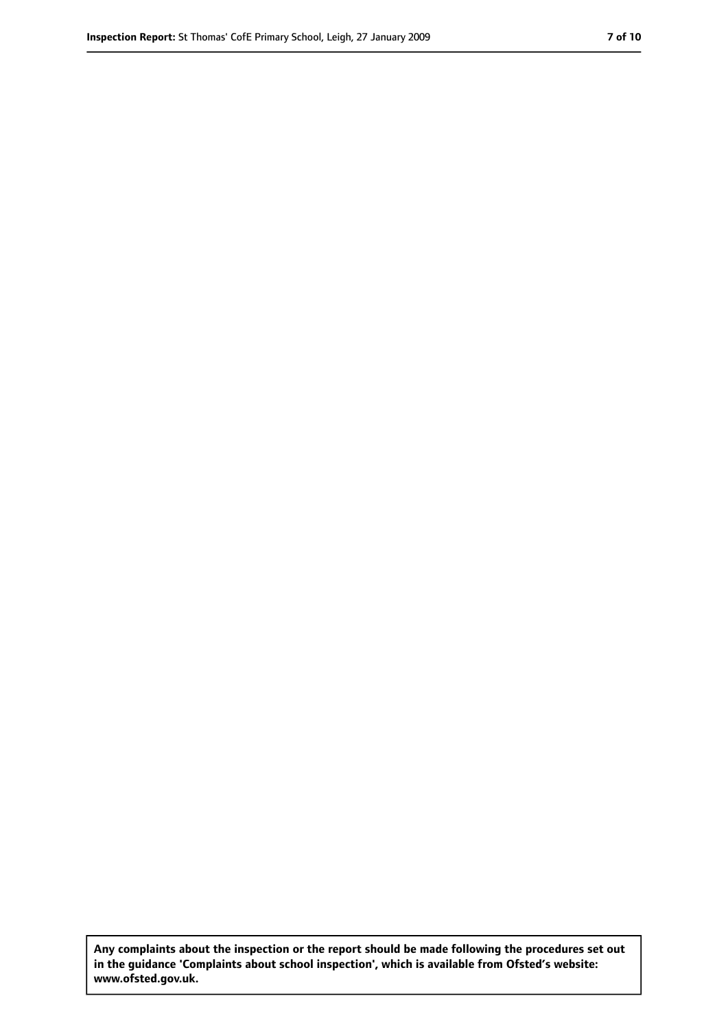**Any complaints about the inspection or the report should be made following the procedures set out in the guidance 'Complaints about school inspection', which is available from Ofsted's website: www.ofsted.gov.uk.**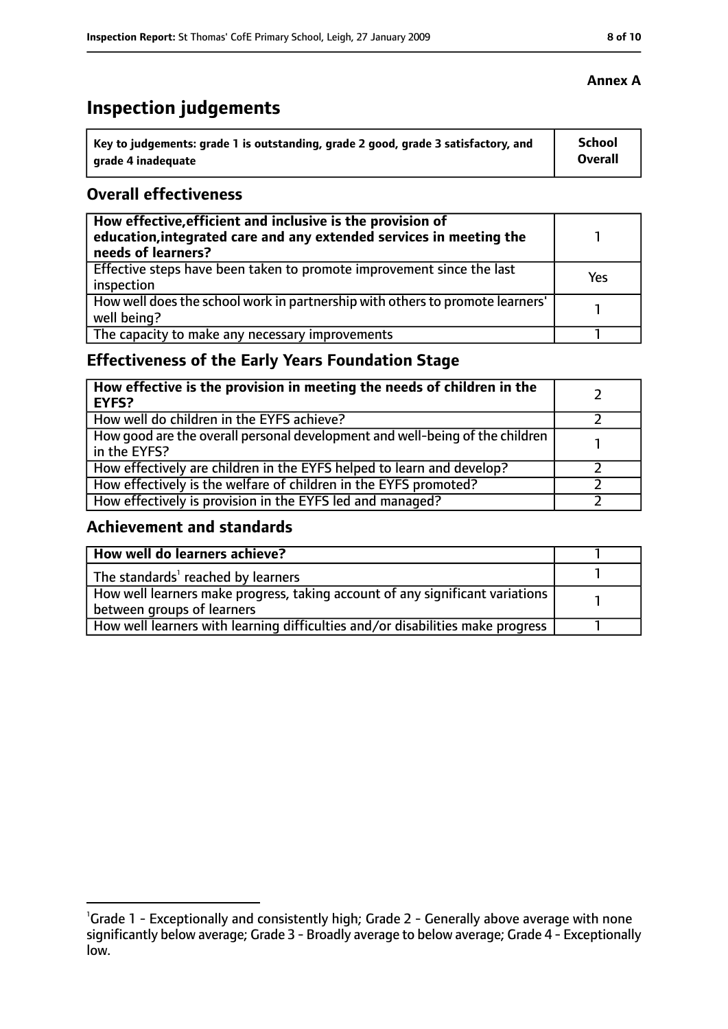# **Inspection judgements**

| Key to judgements: grade 1 is outstanding, grade 2 good, grade 3 satisfactory, and | <b>School</b> |
|------------------------------------------------------------------------------------|---------------|
| arade 4 inadequate                                                                 | Overall       |

## **Overall effectiveness**

| How effective, efficient and inclusive is the provision of<br>education, integrated care and any extended services in meeting the<br>needs of learners? |     |
|---------------------------------------------------------------------------------------------------------------------------------------------------------|-----|
| Effective steps have been taken to promote improvement since the last<br>inspection                                                                     | Yes |
| How well does the school work in partnership with others to promote learners'<br>well being?                                                            |     |
| The capacity to make any necessary improvements                                                                                                         |     |

## **Effectiveness of the Early Years Foundation Stage**

| How effective is the provision in meeting the needs of children in the<br><b>EYFS?</b>       |  |
|----------------------------------------------------------------------------------------------|--|
| How well do children in the EYFS achieve?                                                    |  |
| How good are the overall personal development and well-being of the children<br>in the EYFS? |  |
| How effectively are children in the EYFS helped to learn and develop?                        |  |
| How effectively is the welfare of children in the EYFS promoted?                             |  |
| How effectively is provision in the EYFS led and managed?                                    |  |

## **Achievement and standards**

| How well do learners achieve?                                                               |  |
|---------------------------------------------------------------------------------------------|--|
| $\vert$ The standards <sup>1</sup> reached by learners                                      |  |
| $\mid$ How well learners make progress, taking account of any significant variations $\mid$ |  |
| between groups of learners                                                                  |  |
| How well learners with learning difficulties and/or disabilities make progress              |  |

<sup>&</sup>lt;sup>1</sup>Grade 1 - Exceptionally and consistently high; Grade 2 - Generally above average with none significantly below average; Grade 3 - Broadly average to below average; Grade 4 - Exceptionally low.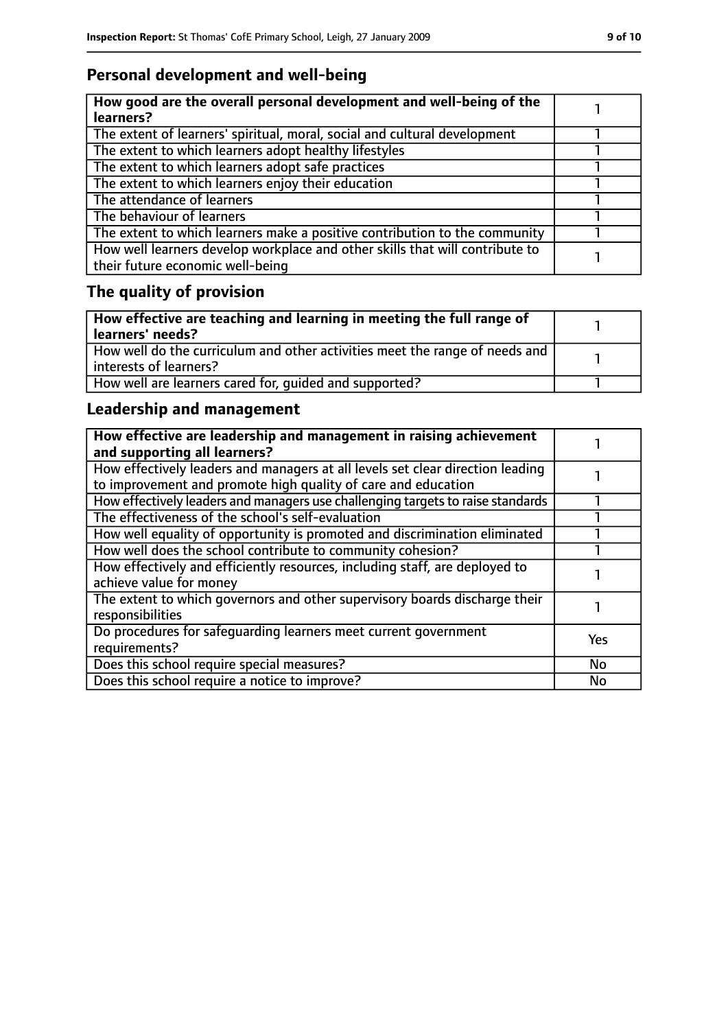## **Personal development and well-being**

| How good are the overall personal development and well-being of the<br>learners?                                 |  |
|------------------------------------------------------------------------------------------------------------------|--|
| The extent of learners' spiritual, moral, social and cultural development                                        |  |
| The extent to which learners adopt healthy lifestyles                                                            |  |
| The extent to which learners adopt safe practices                                                                |  |
| The extent to which learners enjoy their education                                                               |  |
| The attendance of learners                                                                                       |  |
| The behaviour of learners                                                                                        |  |
| The extent to which learners make a positive contribution to the community                                       |  |
| How well learners develop workplace and other skills that will contribute to<br>their future economic well-being |  |

# **The quality of provision**

| How effective are teaching and learning in meeting the full range of<br>learners' needs?              |  |
|-------------------------------------------------------------------------------------------------------|--|
| How well do the curriculum and other activities meet the range of needs and<br>interests of learners? |  |
| How well are learners cared for, quided and supported?                                                |  |

## **Leadership and management**

| How effective are leadership and management in raising achievement<br>and supporting all learners?                                              |            |
|-------------------------------------------------------------------------------------------------------------------------------------------------|------------|
| How effectively leaders and managers at all levels set clear direction leading<br>to improvement and promote high quality of care and education |            |
| How effectively leaders and managers use challenging targets to raise standards                                                                 |            |
| The effectiveness of the school's self-evaluation                                                                                               |            |
| How well equality of opportunity is promoted and discrimination eliminated                                                                      |            |
| How well does the school contribute to community cohesion?                                                                                      |            |
| How effectively and efficiently resources, including staff, are deployed to<br>achieve value for money                                          |            |
| The extent to which governors and other supervisory boards discharge their<br>responsibilities                                                  |            |
| Do procedures for safequarding learners meet current government<br>requirements?                                                                | <b>Yes</b> |
| Does this school require special measures?                                                                                                      | <b>No</b>  |
| Does this school require a notice to improve?                                                                                                   | No         |